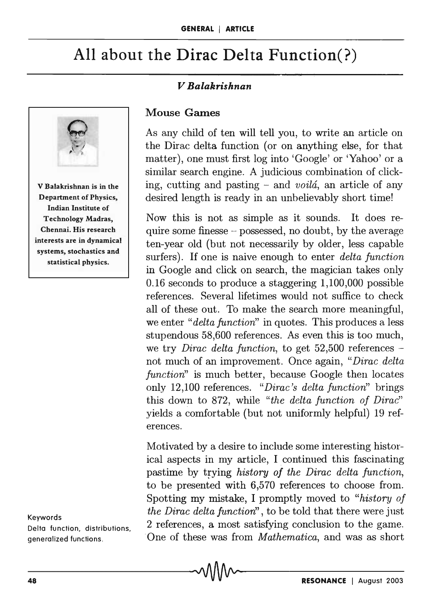# **All about the Dirac** Delta Function(?)

## *V Balakrishnan*



Keywords

Delta function, distributions, generalized functions.

#### Mouse Games

As any child of ten will tell you, to write an article on the Dirac delta function (or on anything else, for that matter), one must first log into 'Google' or 'Yahoo' or a similar search engine. A judicious combination of clicking, cutting and pasting - and *voila,* an article of any desired length is ready in an unbelievably short time!

Now this is not as simple as it sounds. It does require some finesse  $-$  possessed, no doubt, by the average ten-year old (but not necessarily by older, less capable surfers). If one is naive enough to enter *delta function*  in Google and click on search, the magician takes only 0.16 seconds to produce a staggering 1,100,000 possible references. Several lifetimes would not suffice to check all of these out. To make the search more meaningful, we enter *"delta function"* in quotes. This produces a less stupendous 58,600 references. As even this is too much, we try *Dirac delta function,* to get 52,500 references not much of an improvement. Once again, *"Dirac delta function"* is much better, because Google then locates only 12,100 references. *"Dirac's delta function"* brings this down to 872, while *"the delta function of Dirac"*  yields a comfortable (but not uniformly helpful) 19 references.

Motivated by a desire to include some interesting historical aspects in my article, I continued this fascinating pastime by trying *history of the Dirac delta function,*  to be presented with 6,570 references to choose from. Spotting my mistake, I promptly moved to *"history of the Dirac delta function'* , to be told that there were just 2 references, a most satisfying conclusion to the game. One of these was from *Mathematica*, and was as short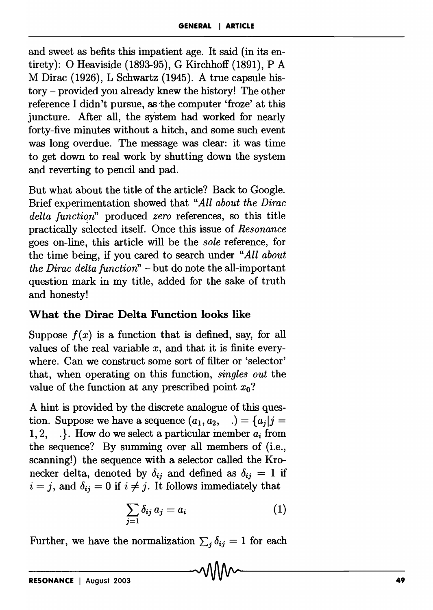and sweet as befits this impatient age. It said (in its entirety): 0 Heaviside (1893-95), G Kirchhoff (1891), P A M Dirac (1926), L Schwartz (1945). A true capsule history - provided you already knew the history! The other reference I didn't pursue, asthe computer 'froze' at this juncture. After all, the system had worked for nearly forty-five minutes without a hitch, and some such event was long overdue. The message was clear: it was time to get down to real work by shutting down the system and reverting to pencil and pad.

But what about the title of the article? Back to Google. Brief experimentation showed that *"All about the Dirac*  delta function" produced *zero* references, so this title practically selected itself. Once this issue of *Resonance*  goes on-line, this article will be the *sole* reference, for the time being, if you cared to search under *"All about the Dirac delta function"* - but do note the all-important question mark in my title, added for the sake of truth and honesty!

### **What the Dirac Delta Function looks like**

Suppose  $f(x)$  is a function that is defined, say, for all values of the real variable *x,* and that it is finite everywhere. Can we construct some sort of filter or 'selector' that, when operating on this function, *singles out* the value of the function at any prescribed point  $x_0$ ?

A hint is provided by the discrete analogue of this question. Suppose we have a sequence  $(a_1, a_2, \ldots) = \{a_i | j =$ 1, 2, . }. How do we select a particular member  $a_i$  from the sequence? By summing over all members of (i.e., scanning!) the sequence with a selector called the Kronecker delta, denoted by  $\delta_{ij}$  and defined as  $\delta_{ij} = 1$  if  $i = j$ , and  $\delta_{ij} = 0$  if  $i \neq j$ . It follows immediately that

$$
\sum_{j=1} \delta_{ij} a_j = a_i \tag{1}
$$

Further, we have the normalization  $\sum_j \delta_{ij} = 1$  for each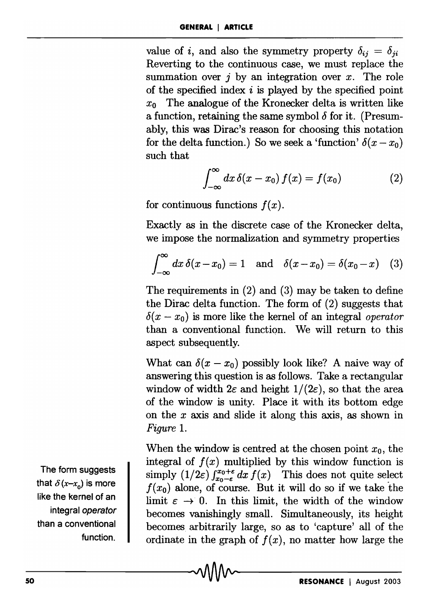value of *i*, and also the symmetry property  $\delta_{ij} = \delta_{ji}$ Reverting to the continuous case, we must replace the summation over  $j$  by an integration over  $x$ . The role of the specified index  $i$  is played by the specified point  $x_0$  The analogue of the Kronecker delta is written like a function, retaining the same symbol  $\delta$  for it. (Presumably, this was Dirac's reason for choosing this notation for the delta function.) So we seek a 'function'  $\delta(x-x_0)$ 

such that  

$$
\int_{-\infty}^{\infty} dx \, \delta(x - x_0) \, f(x) = f(x_0) \tag{2}
$$

for continuous functions  $f(x)$ .

Exactly as in the discrete case of the Kronecker delta, we impose the normalization and symmetry properties

$$
\int_{-\infty}^{\infty} dx \, \delta(x - x_0) = 1 \quad \text{and} \quad \delta(x - x_0) = \delta(x_0 - x) \quad (3)
$$

The requirements in (2) and (3) may be taken to define the Dirac delta function. The form of (2) suggests that  $\delta(x - x_0)$  is more like the kernel of an integral *operator* than a conventional function. We will return to this aspect subsequently.

What can  $\delta(x - x_0)$  possibly look like? A naive way of answering this question is as follows. Take a rectangular window of width  $2\varepsilon$  and height  $1/(2\varepsilon)$ , so that the area of the window is unity. Place it with its bottom edge on the *x* axis and slide it along this axis, as shown in *Figure 1.* 

When the window is centred at the chosen point  $x_0$ , the integral of  $f(x)$  multiplied by this window function is simply  $(1/2\varepsilon) \int_{x_0-\varepsilon}^{x_0+\varepsilon} dx f(x)$  This does not quite select  $f(x_0)$  alone, of course. But it will do so if we take the limit  $\varepsilon \to 0$ . In this limit, the width of the window becomes vanishingly small. Simultaneously, its height becomes arbitrarily large, so as to 'capture' all of the ordinate in the graph of  $f(x)$ , no matter how large the

The form suggests that  $\delta(x-x_0)$  is more like the kernel of an integral operator than a conventional function.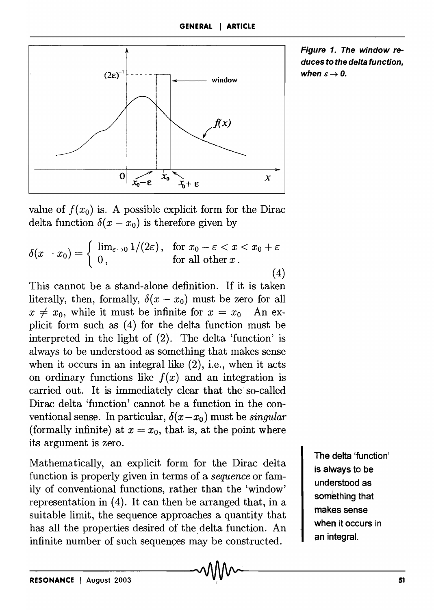

Figure 1. The window reduces to the delta function, when  $\varepsilon \rightarrow 0$ .

value of  $f(x_0)$  is. A possible explicit form for the Dirac delta function  $\delta(x - x_0)$  is therefore given by

$$
\delta(x - x_0) = \begin{cases} \lim_{\varepsilon \to 0} 1/(2\varepsilon), & \text{for } x_0 - \varepsilon < x < x_0 + \varepsilon \\ 0, & \text{for all other } x. \end{cases} \tag{4}
$$

This cannot be a stand-alone definition. If it is taken literally, then, formally,  $\delta(x - x_0)$  must be zero for all  $x \neq x_0$ , while it must be infinite for  $x = x_0$  An explicit form such as (4) for the delta function must be interpreted in the light of (2). The delta 'function' is always to be understood as something that makes sense when it occurs in an integral like  $(2)$ , i.e., when it acts on ordinary functions like  $f(x)$  and an integration is carried out. It is immediately clear that the- so-called Dirac delta 'function' cannot be a function in the conventional sense. In particular,  $\delta(x-x_0)$  must be *singular* (formally infinite) at  $x = x_0$ , that is, at the point where its argument is zero.

Mathematically, an explicit form for the Dirac delta function is properly given in terms of a *sequence* or family of conventional functions, rather than the 'window' representation in (4). It can then be arranged that, in a suitable limit, the sequence approaches a quantity that has all the properties desired of the delta function. An infinite number of such sequences may be constructed.

The delta 'function' is always to be understood as something that makes sense when it occurs in an integral.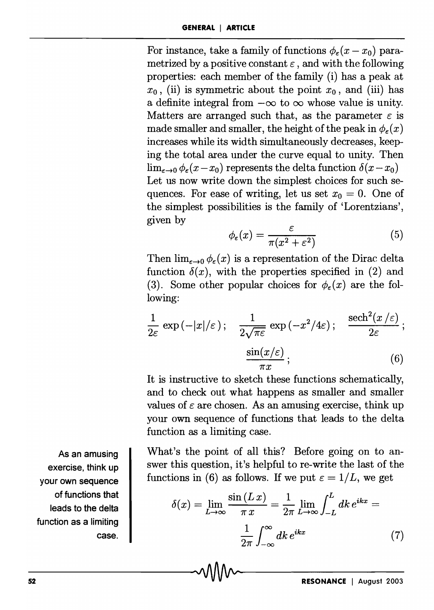For instance, take a family of functions  $\phi_{\epsilon}(x-x_0)$  parametrized by a positive constant  $\varepsilon$ , and with the following properties: each member of the family (i) has a peak at  $x_0$ , (ii) is symmetric about the point  $x_0$ , and (iii) has a definite integral from  $-\infty$  to  $\infty$  whose value is unity. Matters are arranged such that, as the parameter  $\varepsilon$  is made smaller and smaller, the height of the peak in  $\phi_{\epsilon}(x)$ increases while its width simultaneously decreases, keeping the total area under the curve equal to unity. Then  $\lim_{\epsilon \to 0} \phi_{\epsilon}(x - x_0)$  represents the delta function  $\delta(x - x_0)$ Let us now write down the simplest choices for such sequences. For ease of writing, let us set  $x_0 = 0$ . One of the simplest possibilities is the family of 'Lorentzians', given by

$$
\phi_{\varepsilon}(x) = \frac{\varepsilon}{\pi(x^2 + \varepsilon^2)}\tag{5}
$$

Then  $\lim_{\epsilon \to 0} \phi_{\epsilon}(x)$  is a representation of the Dirac delta function  $\delta(x)$ , with the properties specified in (2) and (3). Some other popular choices for  $\phi_{\epsilon}(x)$  are the following:

$$
\frac{1}{2\varepsilon} \exp(-|x|/\varepsilon); \quad \frac{1}{2\sqrt{\pi\varepsilon}} \exp(-x^2/4\varepsilon); \quad \frac{\text{sech}^2(x/\varepsilon)}{2\varepsilon};
$$

$$
\frac{\sin(x/\varepsilon)}{\pi x}; \quad (6)
$$

It is instructive to sketch these functions schematically, and to check out what happens as smaller and smaller values of  $\varepsilon$  are chosen. As an amusing exercise, think up your own sequence of functions that leads to the delta function as a limiting case.

What's the point of all this? Before going on to answer this question, it's helpful to re-write the last of the functions in (6) as follows. If we put  $\varepsilon = 1/L$ , we get

$$
\delta(x) = \lim_{L \to \infty} \frac{\sin(L x)}{\pi x} = \frac{1}{2\pi} \lim_{L \to \infty} \int_{-L}^{L} dk \, e^{ikx} = \frac{1}{2\pi} \int_{-\infty}^{\infty} dk \, e^{ikx} \tag{7}
$$

As an amusing exercise, think up your own sequence of functions that leads to the delta function as a limiting case.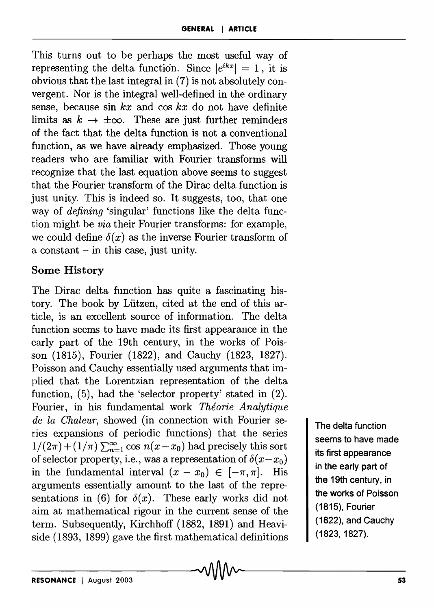This turns out to be perhaps the most useful way of representing the delta function. Since  $|e^{ikx}| = 1$ , it is obvious that the last integral in (7) is not absolutely convergent. Nor is the integral well-defined in the ordinary sense, because sin *kx* and cos *kx* do not have definite limits as  $k \to \pm \infty$ . These are just further reminders of the fact that the delta function is not a conventional function, as we have already emphasized. Those young readers who are familiar with Fourier transforms will recognize that the last equation above seems to suggest that the Fourier transform of the Dirac delta function is just unity. This is indeed so. It suggests, too, that one way of *defining* 'singular' functions like the delta function might be *via* their Fourier transforms: for example, we could define  $\delta(x)$  as the inverse Fourier transform of a constant - in this case, just unity.

#### Some History

The Dirac delta function has quite a fascinating history. The book by Liitzen, cited at the end of this article, is an excellent source of information. The delta function seems to have made its first appearance in the early part of the 19th century, in the works of Poisson (1815), Fourier (1822), and Cauchy (1823, 1827). Poisson and Cauchy essentially used arguments that implied that the Lorentzian representation of the delta function, (5), had the 'selector property' stated in (2). Fourier, in his fundamental work *Théorie Analytique de la Chaleur,* showed (in connection with Fourier series expansions of periodic functions) that the series  $1/(2\pi) + (1/\pi) \sum_{n=1}^{\infty} \cos n(x-x_0)$  had precisely this sort of selector property, i.e., was a representation of  $\delta(x-x_0)$ in the fundamental interval  $(x - x_0) \in [-\pi, \pi]$ . His arguments essentially amount to the last of the representations in (6) for  $\delta(x)$ . These early works did not aim at mathematical rigour in the current sense of the term. Subsequently, Kirchhoff  $(1882, 1891)$  and Heaviside (1893, 1899) gave the first mathematical definitions

The delta function seems to have made its first appearance in the early part of the 19th century, in the works of Poisson (1815), Fourier (1822), and Cauchy (1823,1827).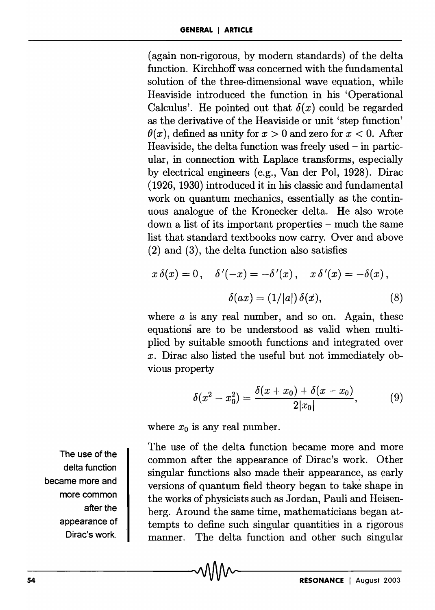(again non-rigorous, by modern standards) of the delta function. Kirchhoff was concerned with the fundamental solution of the three-dimensional wave equation, while Heaviside introduced the function in his 'Operational Calculus'. He pointed out that  $\delta(x)$  could be regarded as the derivative of the Heaviside or unit 'step function'  $\theta(x)$ , defined as unity for  $x > 0$  and zero for  $x < 0$ . After Heaviside, the delta function was freely used  $-$  in particular, in connection with Laplace transforms, especially by electrical engineers (e.g., Van der Pol, 1928). Dirac (1926, 1930) introduced it in his classic and fundamental work on quantum mechanics, essentially as the continuous analogue of the Kronecker delta. He also wrote down a list of its important properties – much the same list that standard textbooks now carry. Over and above (2) and (3), the delta function also satisfies

$$
x \,\delta(x) = 0, \quad \delta'(-x) = -\delta'(x), \quad x \,\delta'(x) = -\delta(x),
$$

$$
\delta(ax) = (1/|a|) \,\delta(x), \tag{8}
$$

where *a* is any real number, and so on. Again, these equations are to be understood as valid when multiplied by suitable smooth functions and integrated over *x.* Dirac also listed the useful but not immediately obvious property

$$
\delta(x^2 - x_0^2) = \frac{\delta(x + x_0) + \delta(x - x_0)}{2|x_0|},
$$
 (9)

where  $x_0$  is any real number.

The use of the delta function became more and more common after the appearance of Dirac's work. Other singular functions also made their appearance, as early versions of quantum field theory began to take shape in the works of physicists such as Jordan, Pauli and Heisenberg. Around the same time, mathematicians began attempts to define such singular quantities in a rjgorous manner. The delta function and other such singular

The use of the delta function became more and more common after the appearance of Dirac's work.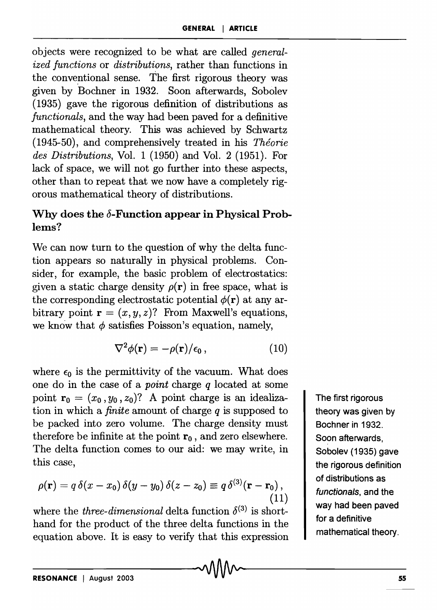objects were recognized to be what are called *generalized functions* or *distributions,* rather than functions in the conventional sense. The first rigorous theory was given by Bochner in 1932. Soon afterwards, Sobolev (1935) gave the rigorous definition of distributions as *functionals,* and the way had been paved for a definitive mathematical theory. This was achieved by Schwartz (1945-50), and comprehensively treated in his *Theorie des Distributions,* Vol. 1 (1950) and Vol. 2 (1951). For lack of space, we will not go further into these aspects, other than to repeat that we now have a completely rigorous mathematical theory of distributions.

# Why does the  $\delta$ -Function appear in Physical Problems?

We can now turn to the question of why the delta function appears so naturally in physical problems. Consider, for example, the basic problem of electrostatics: given a static charge density  $\rho(\mathbf{r})$  in free space, what is the corresponding electrostatic potential  $\phi(\mathbf{r})$  at any arbitrary point  $\mathbf{r} = (x, y, z)$ ? From Maxwell's equations, we know that  $\phi$  satisfies Poisson's equation, namely,

$$
\nabla^2 \phi(\mathbf{r}) = -\rho(\mathbf{r})/\epsilon_0, \qquad (10)
$$

where  $\epsilon_0$  is the permittivity of the vacuum. What does one do in the case of a *point* charge *q* located at some point  $\mathbf{r}_0 = (x_0, y_0, z_0)$ ? A point charge is an idealization in which a *finite* amount of charge *q* is supposed to be packed into zero volume. The charge density must therefore be infinite at the point  $r_0$ , and zero elsewhere. The delta function comes to our aid: we may write, in this case,

$$
\rho(\mathbf{r}) = q \,\delta(x - x_0) \,\delta(y - y_0) \,\delta(z - z_0) \equiv q \,\delta^{(3)}(\mathbf{r} - \mathbf{r}_0),\tag{11}
$$

where the *three-dimensional* delta function  $\delta^{(3)}$  is shorthand for the product of the three delta functions in the equation above. It is easy to verify that this expression

The first rigorous theory was given by Bochner in 1932. Soon afterwards, Sobolev (1935) gave the rigorous definition of distributions as functionals, and the way had been paved for a definitive mathematical theory.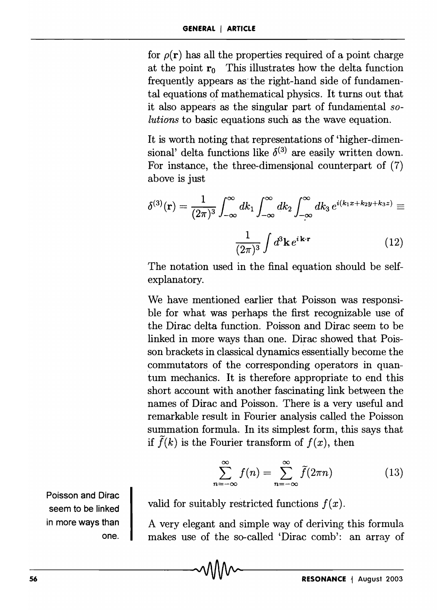for  $\rho(\mathbf{r})$  has all the properties required of a point charge at the point  $r_0$  This illustrates how the delta function frequently appears as the right-hand side of fundamental equations of mathematical physics. It turns out that it also appears as the singular part of fundamental *solutions* to basic equations such as the wave equation.

It is worth noting that representations of 'higher-dimensional' delta functions like  $\delta^{(3)}$  are easily written down. For instance, the three-dimensional counterpart of (7) above is just

$$
\delta^{(3)}(\mathbf{r}) = \frac{1}{(2\pi)^3} \int_{-\infty}^{\infty} dk_1 \int_{-\infty}^{\infty} dk_2 \int_{-\infty}^{\infty} dk_3 e^{i(k_1x + k_2y + k_3z)} \equiv
$$

$$
\frac{1}{(2\pi)^3} \int d^3 \mathbf{k} e^{i\mathbf{k} \cdot \mathbf{r}} \qquad (12)
$$

The notation used in the final equation should be selfexplanatory.

We have mentioned earlier that Poisson was responsible for what was perhaps the first recognizable use of the Dirac delta function. Poisson and Dirac seem to be linked in more ways than one. Dirac showed that Poisson brackets in classical dynamics essentially become the commutators of the corresponding operators in quantum mechanics. It is therefore appropriate to end this short account with another fascinating link between the names of Dirac and Poisson. There is a very useful and remarkable result in Fourier analysis called the Poisson summation formula. In its simplest form, this says that if  $\tilde{f}(k)$  is the Fourier transform of  $f(x)$ , then

$$
\sum_{n=-\infty}^{\infty} f(n) = \sum_{n=-\infty}^{\infty} \tilde{f}(2\pi n)
$$
 (13)

valid for suitably restricted functions  $f(x)$ .

A very elegant and simple way of deriving this formula makes use of the so-called 'Dirac comb': an array of

Poisson and Dirac seem to be linked in more ways than one.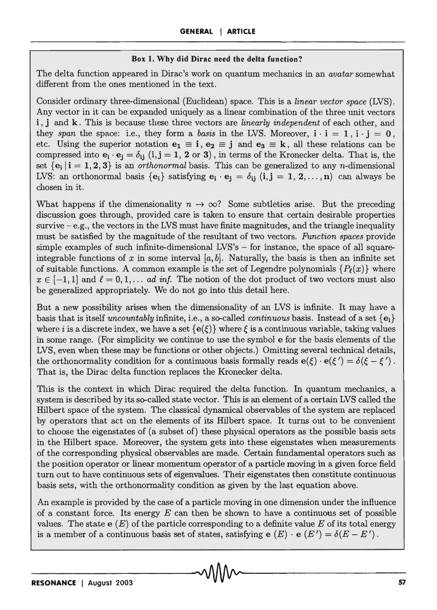#### **Box 1. Why did Dirac need the delta function?**

The delta function appeared in Dirac's work on quantum mechanics in an *avatar* somewhat different from the ones mentioned in the text.

Consider ordinary three-dimensional (Euclidean) space. This is a *linear vector space* (LVS). Any vector in it can be expanded uniquely as a linear combination of the three unit vectors i, j and k. This is because these three vectors are *linearly independent* of each other, and they *span* the space: i.e., they form a *basis* in the LVS. Moreover,  $i \cdot i = 1$ ,  $i \cdot j = 0$ , etc. Using the superior notation  $e_1 \equiv i, e_2 \equiv j$  and  $e_3 \equiv k$ , all these relations can be compressed into  $e_i \cdot e_j = \delta_{ij}$  (i,j = 1, 2 or 3), in terms of the Kronecker delta. That is, the set  $\{e_i \mid i = 1, 2, 3\}$  is an *orthonormal* basis. This can be generalized to any *n*-dimensional LVS: an orthonormal basis  ${e_i}$  satisfying  $e_i \cdot e_j = \delta_{ij}$  (i, j = 1, 2, ..., n) can always be chosen in it.

What happens if the dimensionality  $n \to \infty$ ? Some subtleties arise. But the preceding discussion goes through, provided care is taken to ensure that certain desirable properties survive  $-e.g.,$  the vectors in the LVS must have finite magnitudes, and the triangle inequality must be satisfied by the magnitude of the resultant of two vectors. *Function spaces* provide simple examples of such infinite-dimensional  $LVS's$  - for instance, the space of all squareintegrable functions of x in some interval  $[a, b]$ . Naturally, the basis is then an infinite set of suitable functions. A common example is the set of Legendre polynomials  $\{P_\ell(x)\}\$  where  $x \in [-1, 1]$  and  $\ell = 0, 1, \ldots$  *ad inf.* The notion of the dot product of two vectors must also be generalized appropriately. We do not go into this detail here.

But a new possibility arises when the dimensionality of an LVS is infinite. It may have a basis that is itself *uncountably* infinite, i.e., a so-called *continuous* basis. Instead of a set  $\{e_i\}$ where i is a discrete index, we have a set  $\{e(\xi)\}\$  where  $\xi$  is a continuous variable, taking values in some range. (For simplicity we continue to use the symbol e for the basis elements of the LVS, even when these may be functions or other objects.) Omitting several technical details, the orthonormality condition for a continuous basis formally reads  $e(\xi) \cdot e(\xi') = \delta(\xi - \xi')$ . That is, the Dirac delta function replaces the Kronecker delta.

This is the context in which Dirac required the delta function. In quantum mechanics, a system is described by its so-called state vector. This is an element of a certain LVS called the Hilbert space of the system. The classical dynamical observables of the system are replaced by operators that act on the elements of its Hilbert space. It turns out to be convenient to choose the eigenstates of (a subset of) these physical operators as the possible basis sets in the Hilbert space. Moreover, the system gets into these eigenstates when measurements of the corresponding physical observables are made. Certain fundamental operators such as the position operator or linear momentum operator of a particle moving in a given force field turn out to have continuous sets of eigenvalues. Their eigenstates then constitute continuous basis sets, with the orthononnality condition as given by the last equation above.

An example is provided by the case of a particle moving in one dimension under the influence of a constant force. Its energy *E* can then be shown to have a continuous set of possible values. The state  $\epsilon(E)$  of the particle corresponding to a definite value E of its total energy is a member of a continuous basis set of states, satisfying  $e(E) \cdot e(E') = \delta(E - E')$ .